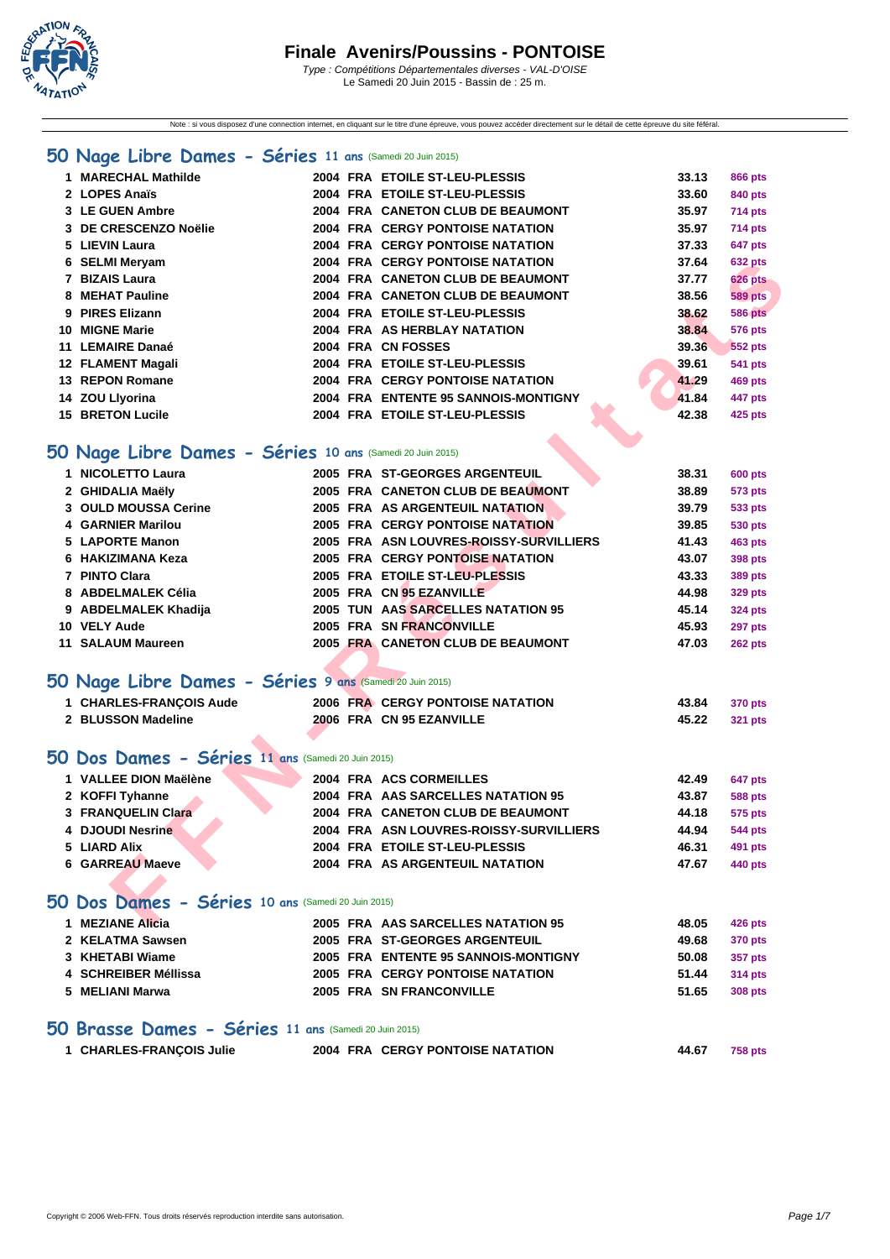

Note : si vous disposez d'une connection internet, en cliquant sur le titre d'une épreuve, vous pouvez accéder directement sur le détail de cette épreuve du site féféral.

#### **[50 Na](http://www.ffnatation.fr/webffn/index.php)ge Libre Dames - Séries 11 ans** (Samedi 20 Juin 2015)

| 1 MARECHAL Mathilde     |  | 2004 FRA ETOILE ST-LEU-PLESSIS          | 33.13 | 866 pts        |
|-------------------------|--|-----------------------------------------|-------|----------------|
| 2 LOPES Anaïs           |  | 2004 FRA ETOILE ST-LEU-PLESSIS          | 33.60 | 840 pts        |
| 3 LE GUEN Ambre         |  | 2004 FRA CANETON CLUB DE BEAUMONT       | 35.97 | 714 pts        |
| 3 DE CRESCENZO Noëlie   |  | <b>2004 FRA CERGY PONTOISE NATATION</b> | 35.97 | <b>714 pts</b> |
| 5 LIEVIN Laura          |  | <b>2004 FRA CERGY PONTOISE NATATION</b> | 37.33 | <b>647 pts</b> |
| 6 SELMI Meryam          |  | <b>2004 FRA CERGY PONTOISE NATATION</b> | 37.64 | <b>632 pts</b> |
| 7 BIZAIS Laura          |  | 2004 FRA CANETON CLUB DE BEAUMONT       | 37.77 | <b>626 pts</b> |
| 8 MEHAT Pauline         |  | 2004 FRA CANETON CLUB DE BEAUMONT       | 38.56 | <b>589 pts</b> |
| 9 PIRES Elizann         |  | 2004 FRA ETOILE ST-LEU-PLESSIS          | 38.62 | <b>586 pts</b> |
| 10 MIGNE Marie          |  | 2004 FRA AS HERBLAY NATATION            | 38.84 | <b>576 pts</b> |
| 11 LEMAIRE Danaé        |  | 2004 FRA CN FOSSES                      | 39.36 | 552 pts        |
| 12 FLAMENT Magali       |  | 2004 FRA ETOILE ST-LEU-PLESSIS          | 39.61 | <b>541 pts</b> |
| 13 REPON Romane         |  | <b>2004 FRA CERGY PONTOISE NATATION</b> | 41.29 | 469 pts        |
| 14 ZOU Llyorina         |  | 2004 FRA ENTENTE 95 SANNOIS-MONTIGNY    | 41.84 | 447 pts        |
| <b>15 BRETON Lucile</b> |  | 2004 FRA ETOILE ST-LEU-PLESSIS          | 42.38 | 425 pts        |

### **50 Nage Libre Dames - Séries 10 ans** (Samedi 20 Juin 2015)

| 6 SELMI Meryam                                            |  | 2004 FRA CERGY PONTOISE NATATION        | 37.64 | 632 pts        |
|-----------------------------------------------------------|--|-----------------------------------------|-------|----------------|
| 7 BIZAIS Laura                                            |  | 2004 FRA CANETON CLUB DE BEAUMONT       | 37.77 | <b>626 pts</b> |
| 8 MEHAT Pauline                                           |  | 2004 FRA CANETON CLUB DE BEAUMONT       | 38.56 | <b>589 pts</b> |
| 9 PIRES Elizann                                           |  | 2004 FRA ETOILE ST-LEU-PLESSIS          | 38.62 | <b>586 pts</b> |
| 10 MIGNE Marie                                            |  | 2004 FRA AS HERBLAY NATATION            | 38.84 | <b>576 pts</b> |
| 11 LEMAIRE Danaé                                          |  | 2004 FRA CN FOSSES                      | 39.36 | <b>552 pts</b> |
| 12 FLAMENT Magali                                         |  | 2004 FRA ETOILE ST-LEU-PLESSIS          | 39.61 | <b>541 pts</b> |
| 13 REPON Romane                                           |  | <b>2004 FRA CERGY PONTOISE NATATION</b> | 41.29 | 469 pts        |
| 14 ZOU Llyorina                                           |  | 2004 FRA ENTENTE 95 SANNOIS-MONTIGNY    | 41.84 | 447 pts        |
| <b>15 BRETON Lucile</b>                                   |  | 2004 FRA ETOILE ST-LEU-PLESSIS          | 42.38 | 425 pts        |
|                                                           |  |                                         |       |                |
| 50 Nage Libre Dames - Séries 10 ans (Samedi 20 Juin 2015) |  |                                         |       |                |
| 1 NICOLETTO Laura                                         |  | 2005 FRA ST-GEORGES ARGENTEUIL          | 38.31 | 600 pts        |
| 2 GHIDALIA Maëly                                          |  | 2005 FRA CANETON CLUB DE BEAUMONT       | 38.89 | 573 pts        |
| 3 OULD MOUSSA Cerine                                      |  | 2005 FRA AS ARGENTEUIL NATATION         | 39.79 | 533 pts        |
| 4 GARNIER Marilou                                         |  | <b>2005 FRA CERGY PONTOISE NATATION</b> | 39.85 | 530 pts        |
| 5 LAPORTE Manon                                           |  | 2005 FRA ASN LOUVRES-ROISSY-SURVILLIERS | 41.43 | 463 pts        |
| 6 HAKIZIMANA Keza                                         |  | <b>2005 FRA CERGY PONTOISE NATATION</b> | 43.07 | 398 pts        |
| 7 PINTO Clara                                             |  | 2005 FRA ETOILE ST-LEU-PLESSIS          | 43.33 | 389 pts        |
| 8 ABDELMALEK Célia                                        |  | 2005 FRA CN 95 EZANVILLE                | 44.98 | 329 pts        |
| 9 ABDELMALEK Khadija                                      |  | 2005 TUN AAS SARCELLES NATATION 95      | 45.14 | 324 pts        |
| 10 VELY Aude                                              |  | 2005 FRA SN FRANCONVILLE                | 45.93 | 297 pts        |
| 11 SALAUM Maureen                                         |  | 2005 FRA CANETON CLUB DE BEAUMONT       | 47.03 | 262 pts        |
|                                                           |  |                                         |       |                |
| 50 Nage Libre Dames - Séries 9 ans (Samedi 20 Juin 2015)  |  |                                         |       |                |
| 1 CHARLES-FRANÇOIS Aude                                   |  | 2006 FRA CERGY PONTOISE NATATION        | 43.84 | <b>370 pts</b> |
| 2 BLUSSON Madeline                                        |  | 2006 FRA CN 95 EZANVILLE                | 45.22 | 321 pts        |
|                                                           |  |                                         |       |                |
| 50 Dos Dames - Séries 11 ans (Samedi 20 Juin 2015)        |  |                                         |       |                |
| 1 VALLEE DION Maëlène                                     |  | 2004 FRA ACS CORMEILLES                 | 42.49 | 647 pts        |
| 2 KOFFI Tyhanne                                           |  | 2004 FRA AAS SARCELLES NATATION 95      | 43.87 | 588 pts        |
| 3 FRANQUELIN Clara                                        |  | 2004 FRA CANETON CLUB DE BEAUMONT       | 44.18 | <b>575 pts</b> |
| 4 DJOUDI Nesrine                                          |  | 2004 FRA ASN LOUVRES-ROISSY-SURVILLIERS | 44.94 | 544 pts        |
| 5 LIARD Alix                                              |  | 2004 FRA ETOILE ST-LEU-PLESSIS          | 46.31 | 491 pts        |
| <b>6 GARREAU Maeve</b>                                    |  | 2004 FRA AS ARGENTEUIL NATATION         | 47.67 | 440 pts        |
|                                                           |  |                                         |       |                |
| 50 Dos Dames - Séries 10 ans (Samedi 20 Juin 2015)        |  |                                         |       |                |
| 1 MEZIANE Alicia                                          |  | 2005 FRA AAS SARCELLES NATATION 95      | 48.05 | 426 pts        |

### **50 Nage Libre Dames - Séries 9 ans** (Samedi 20 Juin 2015)

| 1 CHARLES-FRANÇOIS Aude |  | <b>2006 FRA CERGY PONTOISE NATATION</b> | 43.84 | 370 pts |
|-------------------------|--|-----------------------------------------|-------|---------|
| 2 BLUSSON Madeline      |  | 2006 FRA CN 95 EZANVILLE                | 45.22 | 321 pts |

#### **50 Dos Dames - Séries 11 ans** (Samedi 20 Juin 2015)

| 1 VALLEE DION Maëlène | 2004 FRA ACS CORMEILLES                 | 42.49 | 647 pts |
|-----------------------|-----------------------------------------|-------|---------|
| 2 KOFFI Tyhanne       | 2004 FRA AAS SARCELLES NATATION 95      | 43.87 | 588 pts |
| 3 FRANQUELIN Clara    | 2004 FRA CANETON CLUB DE BEAUMONT       | 44.18 | 575 pts |
| 4 DJOUDI Nesrine      | 2004 FRA ASN LOUVRES-ROISSY-SURVILLIERS | 44.94 | 544 pts |
| 5 LIARD Alix          | 2004 FRA ETOILE ST-LEU-PLESSIS          | 46.31 | 491 pts |
| 6 GARREAU Maeve       | 2004 FRA AS ARGENTEUIL NATATION         | 47.67 | 440 pts |

### **50 Dos Dames - Séries 10 ans** (Samedi 20 Juin 2015)

| 1 MEZIANE Alicia     |  | 2005 FRA AAS SARCELLES NATATION 95      | 48.05 | 426 pts |
|----------------------|--|-----------------------------------------|-------|---------|
| 2 KELATMA Sawsen     |  | 2005 FRA ST-GEORGES ARGENTEUIL          | 49.68 | 370 pts |
| 3 KHETABI Wiame      |  | 2005 FRA ENTENTE 95 SANNOIS-MONTIGNY    | 50.08 | 357 pts |
| 4 SCHREIBER Méllissa |  | <b>2005 FRA CERGY PONTOISE NATATION</b> | 51.44 | 314 pts |
| 5 MELIANI Marwa      |  | 2005 FRA SN FRANCONVILLE                | 51.65 | 308 pts |
|                      |  |                                         |       |         |

#### **50 Brasse Dames - Séries 11 ans** (Samedi 20 Juin 2015)

| 1 CHARLES-FRANCOIS Julie | <b>2004 FRA CERGY PONTOISE NATATION</b> | 44.67 | 758 pts |
|--------------------------|-----------------------------------------|-------|---------|
|                          |                                         |       |         |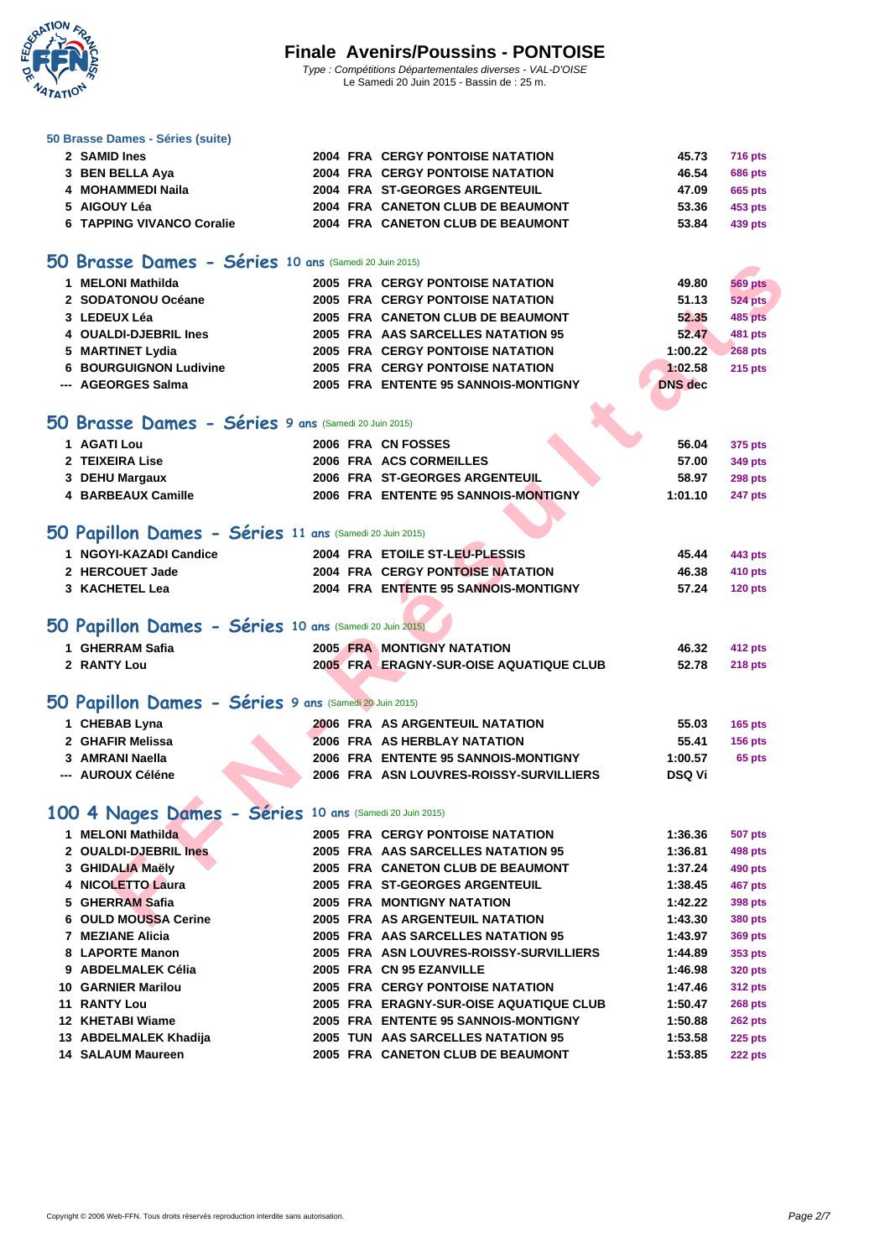

#### **[50 Brasse](http://www.ffnatation.fr/webffn/index.php) Dames - Séries (suite)**

| 2 SAMID Ines              |  | <b>2004 FRA CERGY PONTOISE NATATION</b> | 45.73 | 716 pts        |
|---------------------------|--|-----------------------------------------|-------|----------------|
| 3 BEN BELLA Aya           |  | <b>2004 FRA CERGY PONTOISE NATATION</b> | 46.54 | <b>686 pts</b> |
| 4 MOHAMMEDI Naila         |  | 2004 FRA ST-GEORGES ARGENTEUIL          | 47.09 | 665 pts        |
| 5 AIGOUY Léa              |  | 2004 FRA CANETON CLUB DE BEAUMONT       | 53.36 | 453 pts        |
| 6 TAPPING VIVANCO Coralie |  | 2004 FRA CANETON CLUB DE BEAUMONT       | 53.84 | 439 pts        |

#### **50 Brasse Dames - Séries 10 ans** (Samedi 20 Juin 2015)

| <b>Brasse Dames - Series 10 ans (Samedi 20 Juin 2015)</b> |                                         |                |                |
|-----------------------------------------------------------|-----------------------------------------|----------------|----------------|
| 1 MELONI Mathilda                                         | <b>2005 FRA CERGY PONTOISE NATATION</b> | 49.80          | <b>569 pts</b> |
| 2 SODATONOU Océane                                        | <b>2005 FRA CERGY PONTOISE NATATION</b> | 51.13          | <b>524 pts</b> |
| 3 LEDEUX Léa                                              | 2005 FRA CANETON CLUB DE BEAUMONT       | 52.35          | <b>485 pts</b> |
| 4 OUALDI-DJEBRIL Ines                                     | 2005 FRA AAS SARCELLES NATATION 95      | 52.47          | <b>481 pts</b> |
| 5 MARTINET Lydia                                          | <b>2005 FRA CERGY PONTOISE NATATION</b> | 1:00.22        | <b>268 pts</b> |
| <b>6 BOURGUIGNON Ludivine</b>                             | <b>2005 FRA CERGY PONTOISE NATATION</b> | 1:02.58        | 215 pts        |
| --- AGEORGES Salma                                        | 2005 FRA ENTENTE 95 SANNOIS-MONTIGNY    | <b>DNS</b> dec |                |
|                                                           |                                         |                |                |
| O Brasse Dames - Séries 9 ans (Samedi 20 Juin 2015)       |                                         |                |                |
| 1 AGATI Lou                                               | 2006 FRA CN FOSSES                      | 56.04          | 375 pts        |
| 2 TEIXEIRA Lise                                           | 2006 FRA ACS CORMEILLES                 | 57.00          | 349 pts        |
| 3 DEHU Margaux                                            | 2006 FRA ST-GEORGES ARGENTEUIL          | 58.97          | 298 pts        |
| 4 BARBEAUX Camille                                        | 2006 FRA ENTENTE 95 SANNOIS-MONTIGNY    | 1:01.10        | 247 pts        |
|                                                           |                                         |                |                |
| O Papillon Dames - Séries 11 ans (Samedi 20 Juin 2015)    |                                         |                |                |
| 1 NGOYI-KAZADI Candice                                    | 2004 FRA ETOILE ST-LEU-PLESSIS          | 45.44          | 443 pts        |
| 2 HERCOUET Jade                                           | <b>2004 FRA CERGY PONTOISE NATATION</b> | 46.38          | <b>410 pts</b> |
| 3 KACHETEL Lea                                            | 2004 FRA ENTENTE 95 SANNOIS-MONTIGNY    | 57.24          | <b>120 pts</b> |
|                                                           |                                         |                |                |
| O Papillon Dames - Séries 10 ans (Samedi 20 Juin 2015)    |                                         |                |                |
|                                                           |                                         |                |                |
| 1 GHERRAM Safia                                           | <b>2005 FRA MONTIGNY NATATION</b>       | 46.32          | 412 pts        |
| 2 RANTY Lou                                               | 2005 FRA ERAGNY-SUR-OISE AQUATIQUE CLUB | 52.78          | <b>218 pts</b> |
|                                                           |                                         |                |                |
| O Papillon Dames - Séries 9 ans (Samedi 20 Juin 2015)     |                                         |                |                |
| 1 CHEBAB Lyna                                             | 2006 FRA AS ARGENTEUIL NATATION         | 55.03          | <b>165 pts</b> |
| 2 GHAFIR Melissa                                          | 2006 FRA AS HERBLAY NATATION            | 55.41          | <b>156 pts</b> |
| 3 AMRANI Naella                                           | 2006 FRA ENTENTE 95 SANNOIS-MONTIGNY    | 1:00.57        | 65 pts         |
| --- AUROUX Céléne                                         | 2006 FRA ASN LOUVRES-ROISSY-SURVILLIERS | <b>DSQ Vi</b>  |                |
|                                                           |                                         |                |                |
| 00 4 Nages Dames - Séries 10 ans (Samedi 20 Juin 2015)    |                                         |                |                |
| 1 MELONI Mathilda                                         | <b>2005 FRA CERGY PONTOISE NATATION</b> | 1:36.36        | <b>507 pts</b> |
| 2 OUALDI-DJEBRIL Ines                                     | 2005 FRA AAS SARCELLES NATATION 95      | 1:36.81        | 498 pts        |
| 3 GHIDALIA Maëly                                          | 2005 FRA CANETON CLUB DE BEAUMONT       | 1:37.24        | 490 pts        |
| 4 NICOLETTO Laura                                         | 2005 FRA ST-GEORGES ARGENTEUIL          | 1:38.45        | 467 pts        |
| 5 GHERRAM Safia                                           | <b>2005 FRA MONTIGNY NATATION</b>       | 1:42.22        | 398 pts        |
| <b>6 OULD MOUSSA Cerine</b>                               | 2005 FRA AS ARGENTEUIL NATATION         | 1:43.30        | <b>380 pts</b> |
|                                                           |                                         |                |                |

#### **50 Brasse Dames - Séries 9 ans** (Samedi 20 Juin 2015)

| 1 AGATI Lou        | 2006 FRA CN FOSSES                   | 56.04   | 375 pts        |
|--------------------|--------------------------------------|---------|----------------|
| 2   TEIXEIRA Lise  | 2006 FRA ACS CORMEILLES              | 57.00   | 349 pts        |
| 3 DEHU Margaux     | 2006 FRA ST-GEORGES ARGENTEUIL       | 58.97   | <b>298 pts</b> |
| 4 BARBEAUX Camille | 2006 FRA ENTENTE 95 SANNOIS-MONTIGNY | 1:01.10 | <b>247 pts</b> |

# **50 Papillon Dames - Séries 11 ans** (Samedi 20 Juin 2015)

| NGOYI-KAZADI Candice | 2004 FRA ETOILE ST-LEU-PLESSIS          | 45.44 | 443 pts   |
|----------------------|-----------------------------------------|-------|-----------|
| 2 HERCOUET Jade      | <b>2004 FRA CERGY PONTOISE NATATION</b> | 46.38 | 410 pts   |
| 3 KACHETEL Lea       | 2004 FRA ENTENTE 95 SANNOIS-MONTIGNY    | 57.24 | $120$ pts |

### **50 Papillon Dames - Séries 10 ans** (Samedi 20 Juin 2015)

| <b>GHERRAM Safia</b> | <b>2005 FRA MONTIGNY NATATION</b>       | 46.32 | 412 pts        |
|----------------------|-----------------------------------------|-------|----------------|
| 2 RANTY Lou          | 2005 FRA ERAGNY-SUR-OISE AQUATIQUE CLUB | 52.78 | <b>218 pts</b> |

### **[50 Papillon Dames - Séries](http://www.ffnatation.fr/webffn/resultats.php?idact=nat&go=epr&idcpt=32191&idepr=31) 9 ans** (Samedi 20 Juin 2015)

| 1 CHEBAB Lyna     | 2006 FRA AS ARGENTEUIL NATATION         | 55.03   | 165 $pts$ |
|-------------------|-----------------------------------------|---------|-----------|
| 2 GHAFIR Melissa  | <b>2006 FRA AS HERBLAY NATATION</b>     | 55.41   | $156$ pts |
| 3 AMRANI Naella   | 2006 FRA ENTENTE 95 SANNOIS-MONTIGNY    | 1:00.57 | 65 pts    |
| --- AUROUX Céléne | 2006 FRA ASN LOUVRES-ROISSY-SURVILLIERS | DSQ Vi  |           |

# **100 4 Nages Dames - Séries 10 ans** (Samedi 20 Juin 2015)

| 1 MELONI Mathilda     |  | <b>2005 FRA CERGY PONTOISE NATATION</b> | 1:36.36 | <b>507 pts</b> |
|-----------------------|--|-----------------------------------------|---------|----------------|
| 2 OUALDI-DJEBRIL Ines |  | 2005 FRA AAS SARCELLES NATATION 95      | 1:36.81 | 498 pts        |
| 3 GHIDALIA Maëly      |  | 2005 FRA CANETON CLUB DE BEAUMONT       | 1:37.24 | 490 pts        |
| 4 NICOLETTO Laura     |  | 2005 FRA ST-GEORGES ARGENTEUIL          | 1:38.45 | 467 pts        |
| 5 GHERRAM Safia       |  | 2005 FRA MONTIGNY NATATION              | 1:42.22 | 398 pts        |
| 6 OULD MOUSSA Cerine  |  | 2005 FRA AS ARGENTEUIL NATATION         | 1:43.30 | <b>380 pts</b> |
| 7 MEZIANE Alicia      |  | 2005 FRA AAS SARCELLES NATATION 95      | 1:43.97 | <b>369 pts</b> |
| 8 LAPORTE Manon       |  | 2005 FRA ASN LOUVRES-ROISSY-SURVILLIERS | 1:44.89 | 353 pts        |
| 9 ABDELMALEK Célia    |  | 2005 FRA CN 95 EZANVILLE                | 1:46.98 | <b>320 pts</b> |
| 10 GARNIER Marilou    |  | <b>2005 FRA CERGY PONTOISE NATATION</b> | 1:47.46 | <b>312 pts</b> |
| 11 RANTY Lou          |  | 2005 FRA ERAGNY-SUR-OISE AQUATIQUE CLUB | 1:50.47 | <b>268 pts</b> |
| 12 KHETABI Wiame      |  | 2005 FRA ENTENTE 95 SANNOIS-MONTIGNY    | 1:50.88 | <b>262 pts</b> |
| 13 ABDELMALEK Khadija |  | 2005 TUN AAS SARCELLES NATATION 95      | 1:53.58 | <b>225 pts</b> |
| 14 SALAUM Maureen     |  | 2005 FRA CANETON CLUB DE BEAUMONT       | 1:53.85 | <b>222 pts</b> |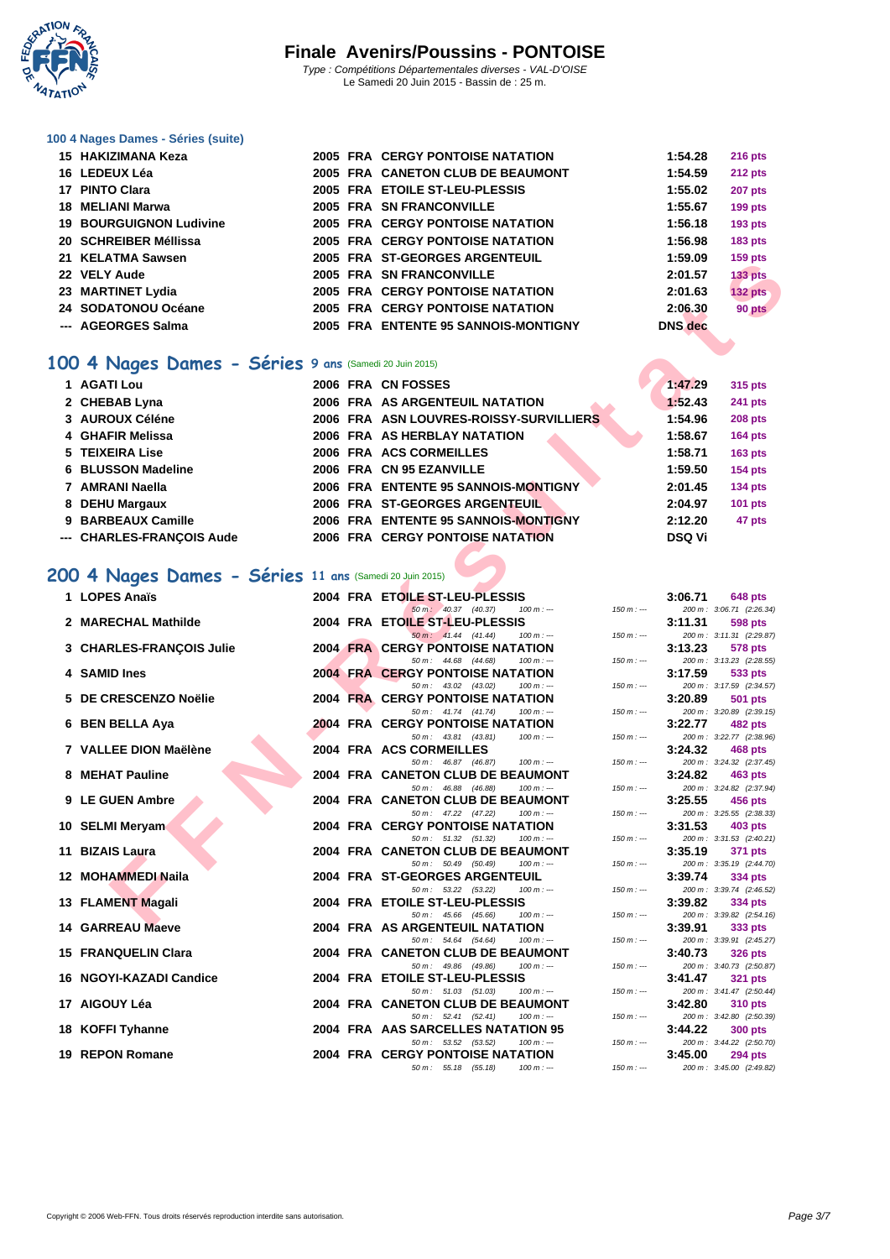

#### **[100 4 Nag](http://www.ffnatation.fr/webffn/index.php)es Dames - Séries (suite)**

| 15 HAKIZIMANA Keza                                    |  | <b>2005 FRA CERGY PONTOISE NATATION</b> | 1:54.28        | <b>216 pts</b> |
|-------------------------------------------------------|--|-----------------------------------------|----------------|----------------|
| 16 LEDEUX Léa                                         |  | 2005 FRA CANETON CLUB DE BEAUMONT       | 1:54.59        | <b>212 pts</b> |
| 17 PINTO Clara                                        |  | 2005 FRA ETOILE ST-LEU-PLESSIS          | 1:55.02        | <b>207 pts</b> |
| 18 MELIANI Marwa                                      |  | 2005 FRA SN FRANCONVILLE                | 1:55.67        | $199$ pts      |
| <b>19 BOURGUIGNON Ludivine</b>                        |  | <b>2005 FRA CERGY PONTOISE NATATION</b> | 1:56.18        | <b>193 pts</b> |
| 20 SCHREIBER Méllissa                                 |  | <b>2005 FRA CERGY PONTOISE NATATION</b> | 1:56.98        | <b>183 pts</b> |
| 21 KELATMA Sawsen                                     |  | 2005 FRA ST-GEORGES ARGENTEUIL          | 1:59.09        | $159$ pts      |
| 22 VELY Aude                                          |  | 2005 FRA SN FRANCONVILLE                | 2:01.57        | <b>133 pts</b> |
| 23 MARTINET Lydia                                     |  | <b>2005 FRA CERGY PONTOISE NATATION</b> | 2:01.63        | 132 pts        |
| 24 SODATONOU Océane                                   |  | <b>2005 FRA CERGY PONTOISE NATATION</b> | 2:06.30        | 90 pts         |
| --- AGEORGES Salma                                    |  | 2005 FRA ENTENTE 95 SANNOIS-MONTIGNY    | <b>DNS</b> dec |                |
|                                                       |  |                                         |                |                |
| 00 4 Nages Dames - Séries 9 ans (Samedi 20 Juin 2015) |  |                                         |                |                |
| 1 AGATILOU                                            |  | 2006 FRA CN FOSSES                      | 1.47.29        | $315$ nts      |

# **100 4 Nages Dames - Séries 9 ans** (Samedi 20 Juin 2015)

| 1 AGATI Lou               |  | 2006 FRA CN FOSSES                      | 1:47.29       | 315 pts        |
|---------------------------|--|-----------------------------------------|---------------|----------------|
| 2 CHEBAB Lyna             |  | 2006 FRA AS ARGENTEUIL NATATION         | 1:52.43       | 241 pts        |
| 3 AUROUX Céléne           |  | 2006 FRA ASN LOUVRES-ROISSY-SURVILLIERS | 1:54.96       | <b>208 pts</b> |
| 4 GHAFIR Melissa          |  | 2006 FRA AS HERBLAY NATATION            | 1:58.67       | $164$ pts      |
| 5 TEIXEIRA Lise           |  | 2006 FRA ACS CORMEILLES                 | 1:58.71       | $163$ pts      |
| 6 BLUSSON Madeline        |  | 2006 FRA CN 95 EZANVILLE                | 1:59.50       | $154$ pts      |
| 7 AMRANI Naella           |  | 2006 FRA ENTENTE 95 SANNOIS-MONTIGNY    | 2:01.45       | $134$ pts      |
| 8 DEHU Margaux            |  | 2006 FRA ST-GEORGES ARGENTEUIL          | 2:04.97       | $101$ pts      |
| 9 BARBEAUX Camille        |  | 2006 FRA ENTENTE 95 SANNOIS-MONTIGNY    | 2:12.20       | 47 pts         |
| --- CHARLES-FRANCOIS Aude |  | <b>2006 FRA CERGY PONTOISE NATATION</b> | <b>DSQ Vi</b> |                |

# **200 4 Nages Dames - Séries 11 ans** (Samedi 20 Juin 2015)

| בו הבבהוויות טמיוסטוו                                  |  | TIM SI-GLONGLO ANGLITILOIL                                                          |             | 1.JJ.VJ        | בוק כטו                                    |
|--------------------------------------------------------|--|-------------------------------------------------------------------------------------|-------------|----------------|--------------------------------------------|
| 22 VELY Aude                                           |  | <b>2005 FRA SN FRANCONVILLE</b>                                                     |             | 2:01.57        | <b>133 pts</b>                             |
| 23 MARTINET Lydia                                      |  | <b>2005 FRA CERGY PONTOISE NATATION</b>                                             |             | 2:01.63        | <b>132 pts</b>                             |
| 24 SODATONOU Océane                                    |  | <b>2005 FRA CERGY PONTOISE NATATION</b>                                             |             | 2:06.30        | 90 pts                                     |
| --- AGEORGES Salma                                     |  | 2005 FRA ENTENTE 95 SANNOIS-MONTIGNY                                                |             | <b>DNS</b> dec |                                            |
|                                                        |  |                                                                                     |             |                |                                            |
|                                                        |  |                                                                                     |             |                |                                            |
| 00 4 Nages Dames - Séries 9 ans (Samedi 20 Juin 2015)  |  |                                                                                     |             |                |                                            |
| 1 AGATI Lou                                            |  | 2006 FRA CN FOSSES                                                                  |             | 1:47.29        | <b>315 pts</b>                             |
| 2 CHEBAB Lyna                                          |  | 2006 FRA AS ARGENTEUIL NATATION                                                     |             | 1:52.43        | <b>241 pts</b>                             |
| 3 AUROUX Céléne                                        |  | 2006 FRA ASN LOUVRES-ROISSY-SURVILLIERS                                             |             | 1:54.96        | <b>208 pts</b>                             |
| 4 GHAFIR Melissa                                       |  | 2006 FRA AS HERBLAY NATATION                                                        |             | 1:58.67        | <b>164 pts</b>                             |
| 5 TEIXEIRA Lise                                        |  | 2006 FRA ACS CORMEILLES                                                             |             | 1:58.71        | <b>163 pts</b>                             |
| 6 BLUSSON Madeline                                     |  | 2006 FRA CN 95 EZANVILLE                                                            |             | 1:59.50        | <b>154 pts</b>                             |
| 7 AMRANI Naella                                        |  | 2006 FRA ENTENTE 95 SANNOIS-MONTIGNY                                                |             | 2:01.45        | <b>134 pts</b>                             |
| 8 DEHU Margaux                                         |  | 2006 FRA ST-GEORGES ARGENTEUIL                                                      |             | 2:04.97        | <b>101 pts</b>                             |
| 9 BARBEAUX Camille                                     |  | 2006 FRA ENTENTE 95 SANNOIS-MONTIGNY                                                |             | 2:12.20        | 47 pts                                     |
| --- CHARLES-FRANÇOIS Aude                              |  | <b>2006 FRA CERGY PONTOISE NATATION</b>                                             |             | <b>DSQ Vi</b>  |                                            |
|                                                        |  |                                                                                     |             |                |                                            |
|                                                        |  |                                                                                     |             |                |                                            |
| 00 4 Nages Dames - Séries 11 ans (Samedi 20 Juin 2015) |  |                                                                                     |             |                |                                            |
| 1 LOPES Anaïs                                          |  | 2004 FRA ETOILE ST-LEU-PLESSIS                                                      |             | 3:06.71        | <b>648 pts</b>                             |
|                                                        |  | $50 m$ : $40.37$ $(40.37)$<br>$100 m: -$                                            | $150 m : -$ |                | 200 m: 3:06.71 (2:26.34)                   |
| 2 MARECHAL Mathilde                                    |  | 2004 FRA ETOILE ST-LEU-PLESSIS<br>$50 \text{ m}: 41.44 (41.44)$<br>$100 m: -$       | $150 m: -$  | 3:11.31        | 598 pts<br>200 m: 3:11.31 (2:29.87)        |
| 3 CHARLES-FRANÇOIS Julie                               |  | <b>2004 FRA CERGY PONTOISE NATATION</b>                                             |             | 3:13.23        | 578 pts                                    |
|                                                        |  | $50 m$ : $44.68$ $(44.68)$<br>$100 m: -$                                            | $150 m: -$  |                | 200 m: 3:13.23 (2:28.55)                   |
| 4 SAMID Ines                                           |  | <b>2004 FRA CERGY PONTOISE NATATION</b>                                             |             | 3:17.59        | 533 pts                                    |
| 5 DE CRESCENZO Noëlie                                  |  | $50 m$ : $43.02$ $(43.02)$<br>$100 m: -$<br><b>2004 FRA CERGY PONTOISE NATATION</b> | $150 m: -$  | 3:20.89        | 200 m: 3:17.59 (2:34.57)<br>501 pts        |
|                                                        |  | $50 m$ : $41.74$ $(41.74)$<br>$100 m: -$                                            | $150 m: -$  |                | 200 m: 3:20.89 (2:39.15)                   |
| 6 BEN BELLA Aya                                        |  | <b>2004 FRA CERGY PONTOISE NATATION</b>                                             |             | 3:22.77        | 482 pts                                    |
| 7 VALLEE DION Maëlène                                  |  | $50 m$ : $43.81$ $(43.81)$<br>$100 m: -$<br>2004 FRA ACS CORMEILLES                 | $150 m: -$  |                | 200 m: 3:22.77 (2:38.96)                   |
|                                                        |  | 50 m: 46.87 (46.87)<br>$100 m: -$                                                   | $150 m: -$  | 3:24.32        | 468 pts<br>200 m: 3:24.32 (2:37.45)        |
| 8 MEHAT Pauline                                        |  | 2004 FRA CANETON CLUB DE BEAUMONT                                                   |             | 3:24.82        | 463 pts                                    |
|                                                        |  | 50 m: 46.88 (46.88)<br>$100 m: -$                                                   | $150 m: -$  |                | 200 m: 3:24.82 (2:37.94)                   |
| 9 LE GUEN Ambre                                        |  | 2004 FRA CANETON CLUB DE BEAUMONT<br>$50 m$ : $47.22$ $(47.22)$<br>$100 m: -$       | $150 m: -$  | 3:25.55        | 456 pts<br>200 m: 3:25.55 (2:38.33)        |
| 10 SELMI Meryam                                        |  | <b>2004 FRA CERGY PONTOISE NATATION</b>                                             |             | 3:31.53        | 403 pts                                    |
|                                                        |  | $50 m$ : $51.32$ (51.32)<br>$100 m: -$                                              | $150 m: -$  |                | 200 m: 3:31.53 (2:40.21)                   |
| 11 BIZAIS Laura                                        |  | 2004 FRA CANETON CLUB DE BEAUMONT                                                   |             | 3:35.19        | 371 pts                                    |
| 12 MOHAMMEDI Naila                                     |  | 50 m: 50.49 (50.49)<br>$100 m: -$<br>2004 FRA ST-GEORGES ARGENTEUIL                 | $150 m: -$  | 3:39.74        | 200 m: 3:35.19 (2:44.70)<br>334 pts        |
|                                                        |  | 50 m: 53.22 (53.22)<br>$100 m: -$                                                   | $150 m : -$ |                | 200 m: 3:39.74 (2:46.52)                   |
| 13 FLAMENT Magali                                      |  | 2004 FRA ETOILE ST-LEU-PLESSIS                                                      |             | 3:39.82        | 334 pts                                    |
| 14 GARREAU Maeve                                       |  | $50 m$ : $45.66$ $(45.66)$<br>$100 m: -$<br><b>2004 FRA AS ARGENTEUIL NATATION</b>  | $150 m: -$  |                | 200 m: 3:39.82 (2:54.16)                   |
|                                                        |  | 50 m: 54.64 (54.64)<br>$100 m : -$                                                  | $150 m : -$ | 3:39.91        | 333 pts<br>200 m: 3:39.91 (2:45.27)        |
| 15 FRANQUELIN Clara                                    |  | 2004 FRA CANETON CLUB DE BEAUMONT                                                   |             | 3:40.73        | <b>326 pts</b>                             |
|                                                        |  | 50 m: 49.86 (49.86)<br>$100 m: -$                                                   | $150 m : -$ |                | 200 m: 3:40.73 (2:50.87)                   |
| 16 NGOYI-KAZADI Candice                                |  | 2004 FRA ETOILE ST-LEU-PLESSIS<br>$50 m$ : $51.03$ (51.03)<br>$100 m: -$            | $150 m: -$  | 3:41.47        | <b>321 pts</b><br>200 m: 3:41.47 (2:50.44) |
| 17 AIGOUY Léa                                          |  | 2004 FRA CANETON CLUB DE BEAUMONT                                                   |             | 3:42.80        | 310 pts                                    |
|                                                        |  | $50 m$ : $52.41$ (52.41)<br>$100 m: -$                                              | $150 m : -$ |                | 200 m: 3:42.80 (2:50.39)                   |
| 18 KOFFI Tyhanne                                       |  | 2004 FRA AAS SARCELLES NATATION 95                                                  |             | 3:44.22        | 300 pts                                    |
| 19 REPON Romane                                        |  | $50 m$ : $53.52$ (53.52)<br>$100 m: -$<br><b>2004 FRA CERGY PONTOISE NATATION</b>   | $150 m: -$  | 3:45.00        | 200 m: 3:44.22 (2:50.70)<br><b>294 pts</b> |
|                                                        |  | $50 m$ : $55.18$ (55.18)<br>$100 m: -$                                              | $150 m : -$ |                | 200 m: 3:45.00 (2:49.82)                   |

| <u>NIL JJ UANNOID MUI</u>                                               |             |               | → Pw                                |
|-------------------------------------------------------------------------|-------------|---------------|-------------------------------------|
| SY PONTOISE NATATION                                                    |             | <b>DSQ Vi</b> |                                     |
|                                                                         |             |               |                                     |
|                                                                         |             |               |                                     |
| in 2015)                                                                |             |               |                                     |
|                                                                         |             |               |                                     |
| <u>LE ST-LEU-PLESSIS</u>                                                |             | 3:06.71       | <b>648 pts</b>                      |
| $50 m$ : $40.37$ $(40.37)$<br>$100 m : -$                               | $150 m : -$ |               | 200 m: 3:06.71 (2:26.34)            |
| <b>LE ST-LEU-PLESSIS</b>                                                |             | 3:11.31       | 598 pts                             |
| $50 \text{ m}$ : $41.44$ (41.44)<br>$100 m: -$                          | $150 m : -$ |               | 200 m: 3:11.31 (2:29.87)            |
| <b>SY PONTOISE NATATION</b>                                             |             | 3:13.23       | 578 pts                             |
| $50 m$ : $44.68$ $(44.68)$ $100 m$ : ---                                | $150 m : -$ |               | 200 m: 3:13.23 (2:28.55)            |
| <b>SY PONTOISE NATATION</b>                                             |             | 3:17.59       | 533 pts                             |
| 50 m : 43.02 (43.02)<br>$100 m : -$                                     | 150 m : --- |               | 200 m: 3:17.59 (2:34.57)            |
| <b>SY PONTOISE NATATION</b>                                             |             | 3:20.89       | <b>501 pts</b>                      |
| 50 m : 41.74 (41.74)<br>$100 m: -$                                      | $150 m : -$ |               | 200 m: 3:20.89 (2:39.15)            |
| <b>SY PONTOISE NATATION</b>                                             |             | 3:22.77       | 482 pts                             |
| 50 m: 43.81 (43.81)<br>$100 m: -$<br>CORMEILLES                         | $150 m : -$ | 3:24.32       | 200 m: 3:22.77 (2:38.96)            |
| 50 m : 46.87 (46.87)                                                    |             |               | <b>468 pts</b>                      |
| $100 m: -$<br><b>TON CLUB DE BEAUMONT</b>                               | $150 m: -$  | 3:24.82       | 200 m: 3:24.32 (2:37.45)            |
|                                                                         | $150 m: -$  |               | 463 pts                             |
| $50 m$ : $46.88$ $(46.88)$ $100 m$ : ---<br><b>TON CLUB DE BEAUMONT</b> |             | 3:25.55       | 200 m: 3:24.82 (2:37.94)            |
| 50 m: 47.22 (47.22)<br>$100 m: -$                                       | $150 m: -$  |               | 456 pts                             |
| <b>SY PONTOISE NATATION</b>                                             |             | 3:31.53       | 200 m: 3:25.55 (2:38.33)            |
| $50 m$ : $51.32$ $(51.32)$ $100 m$ : ---                                | $150 m: -$  |               | 403 pts<br>200 m: 3:31.53 (2:40.21) |
| <b>TON CLUB DE BEAUMONT</b>                                             |             | 3:35.19       | 371 pts                             |
| 50 m : 50.49 (50.49)<br>$100 m: -$                                      | $150 m: -$  |               | 200 m: 3:35.19 (2:44.70)            |
| EORGES ARGENTEUIL                                                       |             | 3:39.74       | 334 pts                             |
| $50 m$ : $53.22$ $(53.22)$ $100 m$ : ---                                | $150 m : -$ |               | 200 m: 3:39.74 (2:46.52)            |
| <b>LE ST-LEU-PLESSIS</b>                                                |             | 3:39.82       | 334 pts                             |
| 50 m : 45.66 (45.66)<br>$100 m: -$                                      | $150 m : -$ |               | 200 m: 3:39.82 (2:54.16)            |
| <b>RGENTEUIL NATATION</b>                                               |             | 3:39.91       | 333 pts                             |
| 50 m : 54.64 (54.64)<br>$100 m: -$                                      | $150 m : -$ |               | 200 m: 3:39.91 (2:45.27)            |
| <b>TON CLUB DE BEAUMONT</b>                                             |             | 3:40.73       | <b>326 pts</b>                      |
| 50 m : 49.86 (49.86) 100 m :--                                          | $150 m : -$ |               | 200 m: 3:40.73 (2:50.87)            |
| <b>LE ST-LEU-PLESSIS</b>                                                |             | 3:41.47       | <b>321 pts</b>                      |
| $50 m$ : $51.03$ (51.03)<br>$100 m: -$                                  | 150 m : --- |               | 200 m: 3:41.47 (2:50.44)            |
| <b>TON CLUB DE BEAUMONT</b>                                             |             | 3:42.80       | <b>310 pts</b>                      |
| $50 m$ : $52.41 (52.41)$<br>$100 m: -$                                  | $150 m: -$  |               | 200 m: 3:42.80 (2:50.39)            |
| <b>SARCELLES NATATION 95</b>                                            |             | 3:44.22       | <b>300 pts</b>                      |
| 50 m : 53.52 (53.52)<br>$100 m: -$                                      | 150 m : --- |               | 200 m: 3:44.22 (2:50.70)            |
| <b>SY PONTOISE NATATION</b>                                             |             | 3:45.00       | <b>294 pts</b>                      |
| 50 m : 55.18 (55.18)<br>$100 m$ : ---                                   | $150 m : -$ |               | 200 m: 3:45.00 (2:49.82)            |
|                                                                         |             |               |                                     |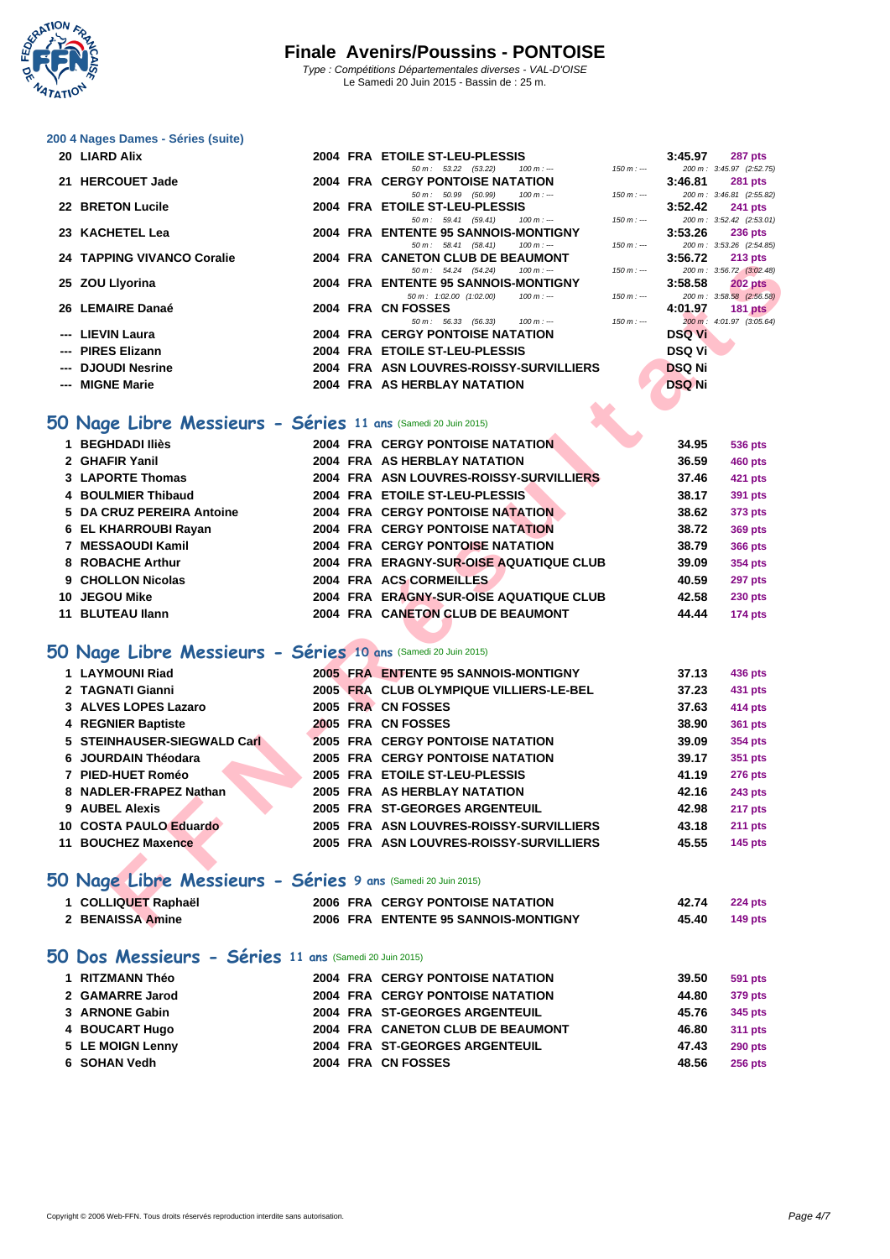

#### **[200 4 Nag](http://www.ffnatation.fr/webffn/index.php)es Dames - Séries (suite)**

|                                                                                                                                                                                                                                 |                                                           |                                                                                                                                                                                                                                                                                                                                                                                                                |               | 287 pts                                                                                                        |
|---------------------------------------------------------------------------------------------------------------------------------------------------------------------------------------------------------------------------------|-----------------------------------------------------------|----------------------------------------------------------------------------------------------------------------------------------------------------------------------------------------------------------------------------------------------------------------------------------------------------------------------------------------------------------------------------------------------------------------|---------------|----------------------------------------------------------------------------------------------------------------|
|                                                                                                                                                                                                                                 | $100 m : -$<br>$50 m$ : $53.22$ (53.22)                   | 150 m : ---                                                                                                                                                                                                                                                                                                                                                                                                    |               | 200 m: 3:45.97 (2:52.75)                                                                                       |
|                                                                                                                                                                                                                                 |                                                           |                                                                                                                                                                                                                                                                                                                                                                                                                |               | 281 pts                                                                                                        |
|                                                                                                                                                                                                                                 | $50 \text{ m}$ : $50.99$ (50.99)<br>$100 \text{ m}$ : --- | 150 m : ---                                                                                                                                                                                                                                                                                                                                                                                                    |               | 200 m: 3:46.81 (2:55.82)                                                                                       |
|                                                                                                                                                                                                                                 |                                                           |                                                                                                                                                                                                                                                                                                                                                                                                                |               | $3:52.42$ 241 pts                                                                                              |
|                                                                                                                                                                                                                                 | $50 \text{ m}$ : $59.41$ (59.41)<br>$100 m: -$            | $150 m : -$                                                                                                                                                                                                                                                                                                                                                                                                    |               | 200 m: 3:52.42 (2:53.01)                                                                                       |
|                                                                                                                                                                                                                                 |                                                           |                                                                                                                                                                                                                                                                                                                                                                                                                |               | 236 pts                                                                                                        |
|                                                                                                                                                                                                                                 | $50 \text{ m}$ : $58.41$ (58.41)<br>100 m : ---           |                                                                                                                                                                                                                                                                                                                                                                                                                |               | 200 m: 3:53.26 (2:54.85)                                                                                       |
|                                                                                                                                                                                                                                 |                                                           |                                                                                                                                                                                                                                                                                                                                                                                                                |               | 213 pts                                                                                                        |
|                                                                                                                                                                                                                                 | $50 \text{ m}$ : $54.24$ (54.24)<br>$100 m : -$           | 150 m : ---                                                                                                                                                                                                                                                                                                                                                                                                    |               | 200 m: 3:56.72 (3:02.48)                                                                                       |
|                                                                                                                                                                                                                                 |                                                           |                                                                                                                                                                                                                                                                                                                                                                                                                |               | <b>202 pts</b>                                                                                                 |
|                                                                                                                                                                                                                                 | 50 m : 1:02.00 (1:02.00)<br>100 m : ---                   | 150 m : ---                                                                                                                                                                                                                                                                                                                                                                                                    |               | 200 m: 3:58.58 (2:56.58)                                                                                       |
|                                                                                                                                                                                                                                 |                                                           |                                                                                                                                                                                                                                                                                                                                                                                                                |               | 181 $pts$                                                                                                      |
|                                                                                                                                                                                                                                 | 50 m : 56.33 (56.33)<br>$100 m : -$                       | $150 m : -$                                                                                                                                                                                                                                                                                                                                                                                                    |               | 200 m: 4:01.97 (3:05.64)                                                                                       |
|                                                                                                                                                                                                                                 |                                                           |                                                                                                                                                                                                                                                                                                                                                                                                                |               |                                                                                                                |
|                                                                                                                                                                                                                                 |                                                           |                                                                                                                                                                                                                                                                                                                                                                                                                |               |                                                                                                                |
|                                                                                                                                                                                                                                 |                                                           |                                                                                                                                                                                                                                                                                                                                                                                                                | <b>DSQ Ni</b> |                                                                                                                |
|                                                                                                                                                                                                                                 |                                                           |                                                                                                                                                                                                                                                                                                                                                                                                                | <b>DSQ Ni</b> |                                                                                                                |
|                                                                                                                                                                                                                                 |                                                           |                                                                                                                                                                                                                                                                                                                                                                                                                |               |                                                                                                                |
| 20 LIARD Alix<br>21 HERCOUET Jade<br>22 BRETON Lucile<br>23 KACHETEL Lea<br>24 TAPPING VIVANCO Coralie<br>25 ZOU Livorina<br>26 LEMAIRE Danaé<br>--- LIEVIN Laura<br>--- PIRES Elizann<br>--- DJOUDI Nesrine<br>--- MIGNE Marie |                                                           | 2004 FRA ETOILE ST-LEU-PLESSIS<br><b>2004 FRA CERGY PONTOISE NATATION</b><br>2004 FRA ETOILE ST-LEU-PLESSIS<br>2004 FRA ENTENTE 95 SANNOIS-MONTIGNY<br>2004 FRA CANETON CLUB DE BEAUMONT<br>2004 FRA ENTENTE 95 SANNOIS-MONTIGNY<br>2004 FRA CN FOSSES<br><b>2004 FRA CERGY PONTOISE NATATION</b><br>2004 FRA ETOILE ST-LEU-PLESSIS<br>2004 FRA ASN LOUVRES-ROISSY-SURVILLIERS<br>2004 FRA AS HERBLAY NATATION |               | 3:45.97<br>3:46.81<br>3:53.26<br>$150 m: -$<br>3:56.72<br>3:58.58<br>4:01.97<br><b>DSQ Vi</b><br><b>DSQ Vi</b> |

# **50 Nage Libre Messieurs - Séries 11 ans** (Samedi 20 Juin 2015)

| TALLING VIVANGO GOLDIL                                       |  | $1157$ Cantivergroup<br>וזטושרש                                                   |            | J.JU.IL        | <b>LIJUS</b>                               |
|--------------------------------------------------------------|--|-----------------------------------------------------------------------------------|------------|----------------|--------------------------------------------|
| 25 ZOU Livorina                                              |  | $50 m$ : $54.24$ $(54.24)$<br>$100 m: -$<br>2004 FRA ENTENTE 95 SANNOIS-MONTIGNY  | $150 m: -$ | 3:58.58        | 200 m: 3:56.72 (3:02.48)<br><b>202 pts</b> |
|                                                              |  | $50 \text{ m}$ : 1:02.00 $(1:02.00)$<br>$100 m: -$                                | $150 m: -$ |                | 200 m: 3:58.58 (2:56.58)                   |
| 26 LEMAIRE Danaé                                             |  | 2004 FRA CN FOSSES                                                                |            | 4:01.97        | <b>181 pts</b>                             |
| --- LIEVIN Laura                                             |  | $50 m$ : $56.33$ (56.33)<br>$100 m: -$<br><b>2004 FRA CERGY PONTOISE NATATION</b> | $150 m: -$ | <b>DSQ Vi</b>  | 200 m : 4:01.97 (3:05.64)                  |
| --- PIRES Elizann                                            |  | 2004 FRA ETOILE ST-LEU-PLESSIS                                                    |            | <b>DSQ Vi</b>  |                                            |
| --- DJOUDI Nesrine                                           |  | 2004 FRA ASN LOUVRES-ROISSY-SURVILLIERS                                           |            | <b>DSQ Ni</b>  |                                            |
| --- MIGNE Marie                                              |  | 2004 FRA AS HERBLAY NATATION                                                      |            | <b>DSQ Ni</b>  |                                            |
|                                                              |  |                                                                                   |            |                |                                            |
|                                                              |  |                                                                                   |            |                |                                            |
| O Nage Libre Messieurs - Séries 11 ans (Samedi 20 Juin 2015) |  |                                                                                   |            |                |                                            |
| 1 BEGHDADI Iliès                                             |  | 2004 FRA CERGY PONTOISE NATATION                                                  |            | 34.95          | 536 pts                                    |
| 2 GHAFIR Yanil                                               |  | 2004 FRA AS HERBLAY NATATION                                                      |            | 36.59          | <b>460 pts</b>                             |
| 3 LAPORTE Thomas                                             |  | 2004 FRA ASN LOUVRES-ROISSY-SURVILLIERS                                           |            | 37.46          | 421 pts                                    |
| 4 BOULMIER Thibaud                                           |  | 2004 FRA ETOILE ST-LEU-PLESSIS                                                    |            | 38.17          | 391 pts                                    |
| 5 DA CRUZ PEREIRA Antoine                                    |  | 2004 FRA CERGY PONTOISE NATATION                                                  |            | 38.62          | 373 pts                                    |
| 6 EL KHARROUBI Rayan                                         |  | <b>2004 FRA CERGY PONTOISE NATATION</b>                                           |            | 38.72          | <b>369 pts</b>                             |
| 7 MESSAOUDI Kamil                                            |  | <b>2004 FRA CERGY PONTOISE NATATION</b>                                           |            | 38.79          | <b>366 pts</b>                             |
| 8 ROBACHE Arthur                                             |  | 2004 FRA ERAGNY-SUR-OISE AQUATIQUE CLUB                                           |            | 39.09          | 354 pts                                    |
| 9 CHOLLON Nicolas                                            |  | 2004 FRA ACS CORMEILLES                                                           |            | 40.59          | <b>297 pts</b>                             |
| 10 JEGOU Mike                                                |  | 2004 FRA ERAGNY-SUR-OISE AQUATIQUE CLUB                                           |            | 42.58          | <b>230 pts</b>                             |
| 11 BLUTEAU Ilann                                             |  | 2004 FRA CANETON CLUB DE BEAUMONT                                                 |            | 44.44          | <b>174 pts</b>                             |
|                                                              |  |                                                                                   |            |                |                                            |
| O Nage Libre Messieurs - Séries 10 ans (Samedi 20 Juin 2015) |  |                                                                                   |            |                |                                            |
| 1 LAYMOUNI Riad                                              |  | 2005 FRA ENTENTE 95 SANNOIS-MONTIGNY                                              |            | 37.13          |                                            |
| 2 TAGNATI Gianni                                             |  | 2005 FRA CLUB OLYMPIQUE VILLIERS-LE-BEL                                           |            | 37.23          | 436 pts                                    |
| 3 ALVES LOPES Lazaro                                         |  | 2005 FRA CN FOSSES                                                                |            |                | 431 pts                                    |
|                                                              |  |                                                                                   |            | 37.63          | 414 pts                                    |
| 4 REGNIER Baptiste<br>5 STEINHAUSER-SIEGWALD Carl            |  | 2005 FRA CN FOSSES<br><b>2005 FRA CERGY PONTOISE NATATION</b>                     |            | 38.90<br>39.09 | <b>361 pts</b>                             |
| 6 JOURDAIN Théodara                                          |  | <b>2005 FRA CERGY PONTOISE NATATION</b>                                           |            | 39.17          | 354 pts                                    |
|                                                              |  |                                                                                   |            |                | 351 pts                                    |
| 7 PIED-HUET Roméo                                            |  | 2005 FRA ETOILE ST-LEU-PLESSIS                                                    |            | 41.19          | <b>276 pts</b>                             |
| 8 NADLER-FRAPEZ Nathan                                       |  | 2005 FRA AS HERBLAY NATATION                                                      |            | 42.16          | <b>243 pts</b>                             |
| 9 AUBEL Alexis                                               |  | 2005 FRA ST-GEORGES ARGENTEUIL                                                    |            | 42.98          | 217 pts                                    |
| 10 COSTA PAULO Eduardo                                       |  | 2005 FRA ASN LOUVRES-ROISSY-SURVILLIERS                                           |            | 43.18          | 211 pts                                    |
| <b>11 BOUCHEZ Maxence</b>                                    |  | 2005 FRA ASN LOUVRES-ROISSY-SURVILLIERS                                           |            | 45.55          | <b>145 pts</b>                             |
|                                                              |  |                                                                                   |            |                |                                            |
| O Nage Libre Messieurs - Séries 9 ans (Samedi 20 Juin 2015)  |  |                                                                                   |            |                |                                            |
| 1 COLLIQUET Raphaël                                          |  | <b>2006 FRA CERGY PONTOISE NATATION</b>                                           |            | 42.74          | <b>224 pts</b>                             |
| 2 BENAISSA Amine                                             |  | 2006 FRA ENTENTE 95 SANNOIS-MONTIGNY                                              |            | 45.40          | <b>149 pts</b>                             |
|                                                              |  |                                                                                   |            |                |                                            |

### **50 Nage Libre Messieurs - Séries 10 ans** (Samedi 20 Juin 2015)

| 1 LAYMOUNI Riad             |  | 2005 FRA ENTENTE 95 SANNOIS-MONTIGNY    | 37.13 | 436 pts        |
|-----------------------------|--|-----------------------------------------|-------|----------------|
| 2 TAGNATI Gianni            |  | 2005 FRA CLUB OLYMPIQUE VILLIERS-LE-BEL | 37.23 | 431 pts        |
| 3 ALVES LOPES Lazaro        |  | 2005 FRA CN FOSSES                      | 37.63 | 414 pts        |
| 4 REGNIER Baptiste          |  | 2005 FRA CN FOSSES                      | 38.90 | <b>361 pts</b> |
| 5 STEINHAUSER-SIEGWALD Carl |  | <b>2005 FRA CERGY PONTOISE NATATION</b> | 39.09 | 354 pts        |
| 6 JOURDAIN Théodara         |  | <b>2005 FRA CERGY PONTOISE NATATION</b> | 39.17 | 351 pts        |
| 7 PIED-HUET Roméo           |  | 2005 FRA ETOILE ST-LEU-PLESSIS          | 41.19 | <b>276 pts</b> |
| 8 NADLER-FRAPEZ Nathan      |  | 2005 FRA AS HERBLAY NATATION            | 42.16 | <b>243 pts</b> |
| 9 AUBEL Alexis              |  | 2005 FRA ST-GEORGES ARGENTEUIL          | 42.98 | <b>217 pts</b> |
| 10 COSTA PAULO Eduardo      |  | 2005 FRA ASN LOUVRES-ROISSY-SURVILLIERS | 43.18 | $211$ pts      |
| 11 BOUCHEZ Maxence          |  | 2005 FRA ASN LOUVRES-ROISSY-SURVILLIERS | 45.55 | $145$ pts      |

# **50 Nage Libre Messieurs - Séries 9 ans** (Samedi 20 Juin 2015)

| 1 COLLIQUET Raphaël |  | <b>2006 FRA CERGY PONTOISE NATATION</b> | 42.74 | <b>224 pts</b> |
|---------------------|--|-----------------------------------------|-------|----------------|
| 2 BENAISSA Amine    |  | 2006 FRA ENTENTE 95 SANNOIS-MONTIGNY    | 45.40 | 149 pts        |

#### **[50 Dos Messieurs - Séries](http://www.ffnatation.fr/webffn/resultats.php?idact=nat&go=epr&idcpt=32191&idepr=51) 11 ans** (Samedi 20 Juin 2015)

| 1 RITZMANN Théo  |  | <b>2004 FRA CERGY PONTOISE NATATION</b> | 39.50 | 591 pts        |
|------------------|--|-----------------------------------------|-------|----------------|
| 2 GAMARRE Jarod  |  | <b>2004 FRA CERGY PONTOISE NATATION</b> | 44.80 | 379 pts        |
| 3 ARNONE Gabin   |  | 2004 FRA ST-GEORGES ARGENTEUIL          | 45.76 | 345 pts        |
| 4 BOUCART Hugo   |  | 2004 FRA CANETON CLUB DE BEAUMONT       | 46.80 | 311 pts        |
| 5 LE MOIGN Lenny |  | 2004 FRA ST-GEORGES ARGENTEUIL          | 47.43 | <b>290 pts</b> |
| 6 SOHAN Vedh     |  | 2004 FRA CN FOSSES                      | 48.56 | <b>256 pts</b> |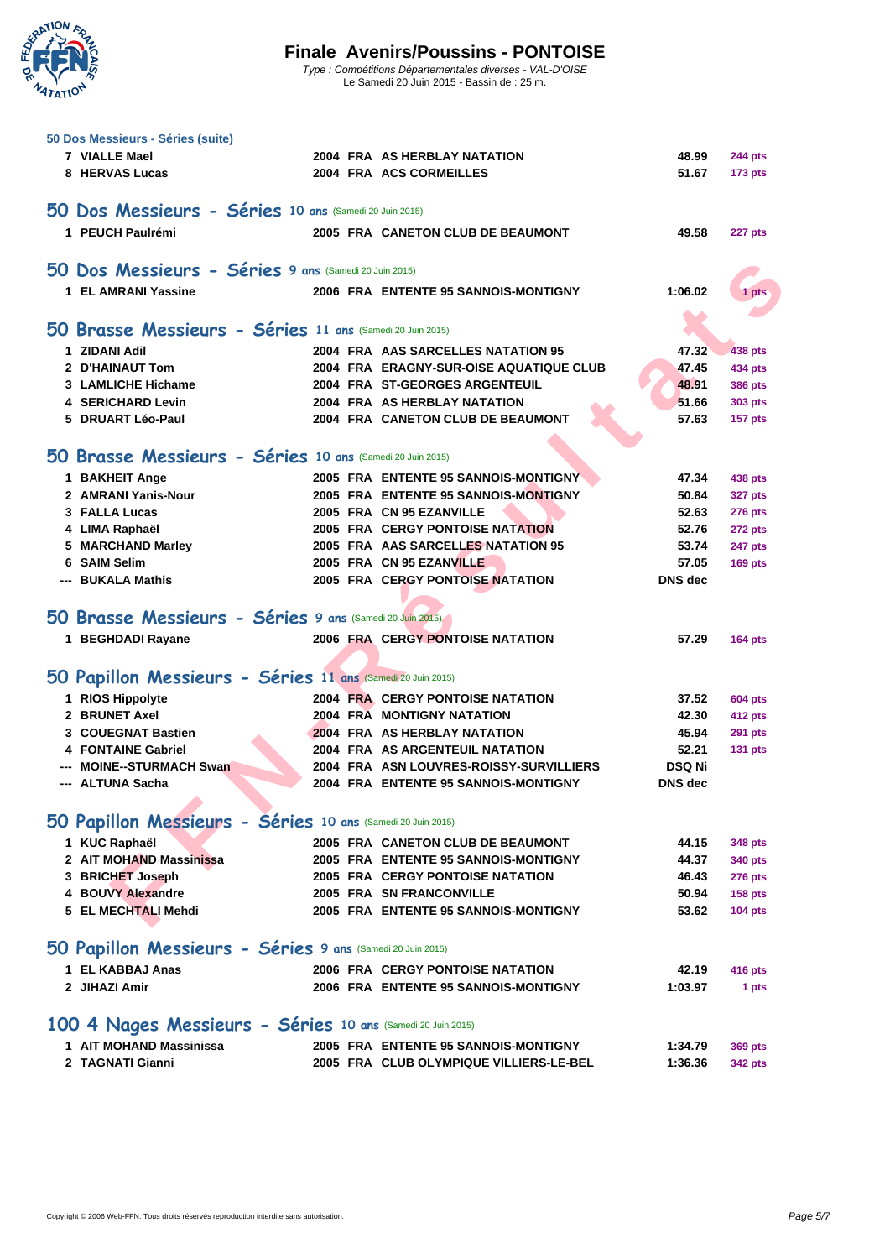

| 7 VIALLE Mael                                                                          | 2004 FRA AS HERBLAY NATATION            | 48.99          | <b>244 pts</b> |
|----------------------------------------------------------------------------------------|-----------------------------------------|----------------|----------------|
| 8 HERVAS Lucas                                                                         | 2004 FRA ACS CORMEILLES                 | 51.67          | <b>173 pts</b> |
|                                                                                        |                                         |                |                |
| 50 Dos Messieurs - Séries 10 ans (Samedi 20 Juin 2015)                                 |                                         |                |                |
| 1 PEUCH Paulrémi                                                                       | 2005 FRA CANETON CLUB DE BEAUMONT       | 49.58          | 227 pts        |
|                                                                                        |                                         |                |                |
| 50 Dos Messieurs - Séries 9 ans (Samedi 20 Juin 2015)                                  |                                         |                |                |
| 1 EL AMRANI Yassine                                                                    | 2006 FRA ENTENTE 95 SANNOIS-MONTIGNY    | 1:06.02        | 1 pts          |
|                                                                                        |                                         |                |                |
| 50 Brasse Messieurs - Séries 11 ans (Samedi 20 Juin 2015)                              |                                         |                |                |
| 1 ZIDANI Adil                                                                          | 2004 FRA AAS SARCELLES NATATION 95      | 47.32          | <b>438 pts</b> |
| 2 D'HAINAUT Tom                                                                        | 2004 FRA ERAGNY-SUR-OISE AQUATIQUE CLUB | 47.45          | 434 pts        |
| 3 LAMLICHE Hichame                                                                     | 2004 FRA ST-GEORGES ARGENTEUIL          | 48.91          | <b>386 pts</b> |
| <b>4 SERICHARD Levin</b>                                                               | 2004 FRA AS HERBLAY NATATION            | 51.66          | 303 pts        |
| 5 DRUART Léo-Paul                                                                      | 2004 FRA CANETON CLUB DE BEAUMONT       | 57.63          | 157 pts        |
|                                                                                        |                                         |                |                |
| 50 Brasse Messieurs - Séries 10 ans (Samedi 20 Juin 2015)                              |                                         |                |                |
| 1 BAKHEIT Ange                                                                         | 2005 FRA ENTENTE 95 SANNOIS-MONTIGNY    | 47.34          | 438 pts        |
| 2 AMRANI Yanis-Nour                                                                    | 2005 FRA ENTENTE 95 SANNOIS-MONTIGNY    | 50.84          | <b>327 pts</b> |
| 3 FALLA Lucas                                                                          | 2005 FRA CN 95 EZANVILLE                | 52.63          | 276 pts        |
| 4 LIMA Raphaël                                                                         | <b>2005 FRA CERGY PONTOISE NATATION</b> | 52.76          | <b>272 pts</b> |
| 5 MARCHAND Marley                                                                      | 2005 FRA AAS SARCELLES NATATION 95      | 53.74          | 247 pts        |
| <b>SAIM Selim</b><br>6                                                                 | 2005 FRA CN 95 EZANVILLE                | 57.05          | <b>169 pts</b> |
| --- BUKALA Mathis                                                                      | <b>2005 FRA CERGY PONTOISE NATATION</b> | <b>DNS</b> dec |                |
|                                                                                        |                                         |                |                |
| 50 Brasse Messieurs - Séries 9 ans (Samedi 20 Juin 2015)                               |                                         |                |                |
| 1 BEGHDADI Rayane                                                                      | <b>2006 FRA CERGY PONTOISE NATATION</b> | 57.29          | $164$ pts      |
|                                                                                        |                                         |                |                |
| 50 Papillon Messieurs - Séries 11 ans (Samedi 20 Juin 2015)                            |                                         |                |                |
|                                                                                        |                                         |                | <b>604 pts</b> |
|                                                                                        | <b>2004 FRA CERGY PONTOISE NATATION</b> | 37.52          |                |
| 1 RIOS Hippolyte<br>2 BRUNET Axel                                                      | <b>2004 FRA MONTIGNY NATATION</b>       | 42.30          | 412 pts        |
| 3 COUEGNAT Bastien                                                                     | 2004 FRA AS HERBLAY NATATION            | 45.94          | <b>291 pts</b> |
| <b>FONTAINE Gabriel</b>                                                                | 2004 FRA AS ARGENTEUIL NATATION         | 52.21          | <b>131 pts</b> |
| <b>MOINE--STURMACH Swan</b>                                                            | 2004 FRA ASN LOUVRES-ROISSY-SURVILLIERS | <b>DSQ Ni</b>  |                |
| --- ALTUNA Sacha                                                                       | 2004 FRA ENTENTE 95 SANNOIS-MONTIGNY    | <b>DNS</b> dec |                |
| <b>A</b>                                                                               |                                         |                |                |
| 50 Papillon Messieurs - Šéries 10 ans (Samedi 20 Juin 2015)                            |                                         |                |                |
| 1 KUC Raphaël                                                                          | 2005 FRA CANETON CLUB DE BEAUMONT       | 44.15          | 348 pts        |
| 2 AIT MOHAND Massinissa                                                                | 2005 FRA ENTENTE 95 SANNOIS-MONTIGNY    | 44.37          | 340 pts        |
| 3 BRICHET Joseph                                                                       | <b>2005 FRA CERGY PONTOISE NATATION</b> | 46.43          | 276 pts        |
| 4 BOUVY Alexandre                                                                      | 2005 FRA SN FRANCONVILLE                | 50.94          | <b>158 pts</b> |
| 5 EL MECHTALI Mehdi                                                                    | 2005 FRA ENTENTE 95 SANNOIS-MONTIGNY    | 53.62          | $104$ pts      |
|                                                                                        |                                         |                |                |
| 50 Papillon Messieurs - Séries 9 ans (Samedi 20 Juin 2015)                             |                                         |                |                |
| 1 EL KABBAJ Anas                                                                       | <b>2006 FRA CERGY PONTOISE NATATION</b> | 42.19          | 416 pts        |
| 2 JIHAZI Amir                                                                          | 2006 FRA ENTENTE 95 SANNOIS-MONTIGNY    | 1:03.97        | 1 pts          |
|                                                                                        |                                         |                |                |
|                                                                                        |                                         |                |                |
| 100 4 Nages Messieurs - Séries 10 ans (Samedi 20 Juin 2015)<br>1 AIT MOHAND Massinissa | 2005 FRA ENTENTE 95 SANNOIS-MONTIGNY    | 1:34.79        | 369 pts        |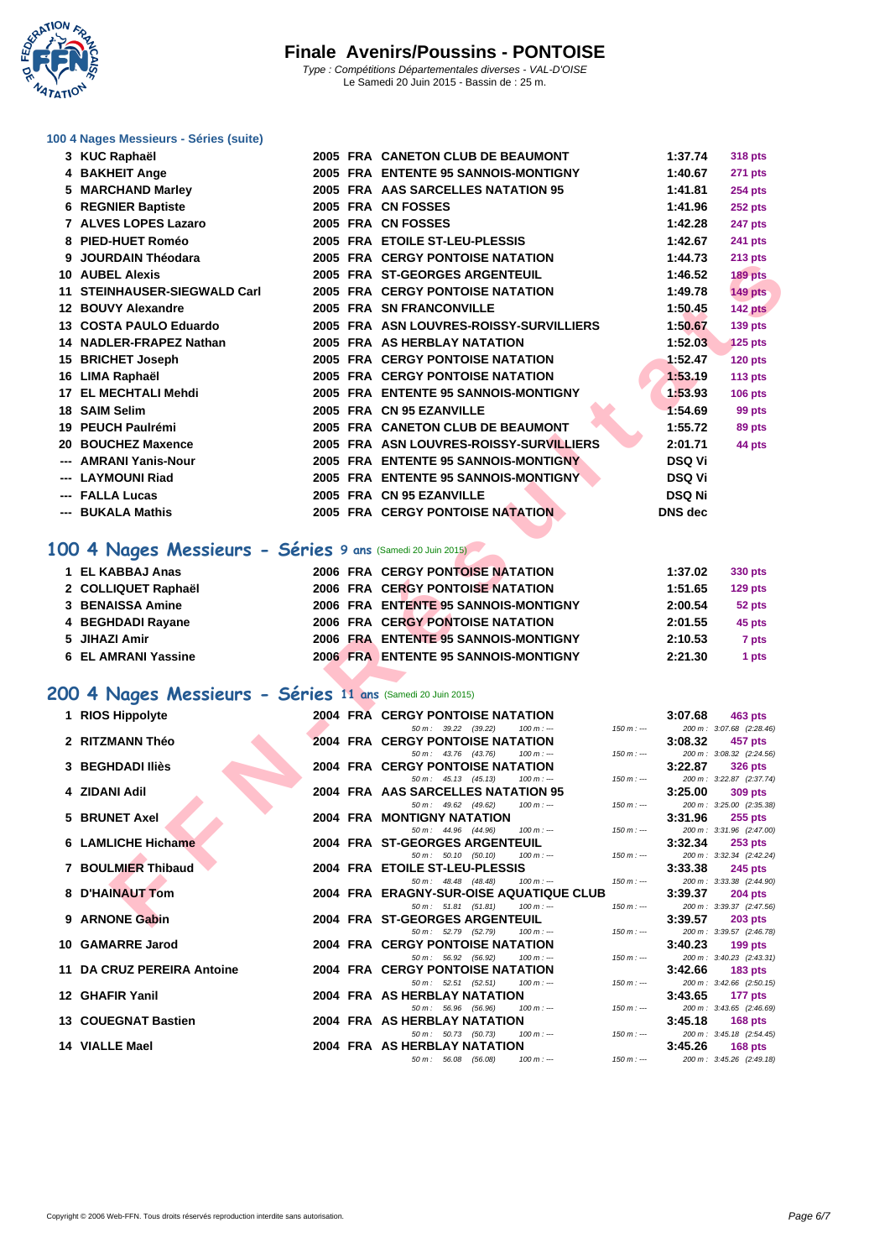

# **[100 4 Nag](http://www.ffnatation.fr/webffn/index.php)es Messieurs - Séries (suite)**

| 3 KUC Raphaël                                                                                                                                 |  | 2005 FRA CANETON CLUB DE BEAUMONT                                                                                                                       | 1:37.74                                  | 318 pts                                    |
|-----------------------------------------------------------------------------------------------------------------------------------------------|--|---------------------------------------------------------------------------------------------------------------------------------------------------------|------------------------------------------|--------------------------------------------|
| 4 BAKHEIT Ange                                                                                                                                |  | 2005 FRA ENTENTE 95 SANNOIS-MONTIGNY                                                                                                                    | 1:40.67                                  | 271 pts                                    |
| 5 MARCHAND Marley                                                                                                                             |  | 2005 FRA AAS SARCELLES NATATION 95                                                                                                                      | 1:41.81                                  | <b>254 pts</b>                             |
| <b>6 REGNIER Baptiste</b>                                                                                                                     |  | 2005 FRA CN FOSSES                                                                                                                                      | 1:41.96                                  | <b>252 pts</b>                             |
| 7 ALVES LOPES Lazaro                                                                                                                          |  | 2005 FRA CN FOSSES                                                                                                                                      | 1:42.28                                  | 247 pts                                    |
| 8 PIED-HUET Roméo                                                                                                                             |  | 2005 FRA ETOILE ST-LEU-PLESSIS                                                                                                                          | 1:42.67                                  | <b>241 pts</b>                             |
| 9 JOURDAIN Théodara                                                                                                                           |  | 2005 FRA CERGY PONTOISE NATATION                                                                                                                        | 1:44.73                                  | <b>213 pts</b>                             |
| <b>10 AUBEL Alexis</b>                                                                                                                        |  | 2005 FRA ST-GEORGES ARGENTEUIL                                                                                                                          | 1:46.52                                  | 189 pts                                    |
| 11 STEINHAUSER-SIEGWALD Carl                                                                                                                  |  | <b>2005 FRA CERGY PONTOISE NATATION</b>                                                                                                                 | 1:49.78                                  | <b>149 pts</b>                             |
| 12 BOUVY Alexandre                                                                                                                            |  | 2005 FRA SN FRANCONVILLE                                                                                                                                | 1:50.45                                  | 142 pts                                    |
| 13 COSTA PAULO Eduardo                                                                                                                        |  | 2005 FRA ASN LOUVRES-ROISSY-SURVILLIERS                                                                                                                 | 1:50.67                                  | <b>139 pts</b>                             |
| 14 NADLER-FRAPEZ Nathan                                                                                                                       |  | 2005 FRA AS HERBLAY NATATION                                                                                                                            | 1:52.03                                  | <b>125 pts</b>                             |
| 15 BRICHET Joseph                                                                                                                             |  | 2005 FRA CERGY PONTOISE NATATION                                                                                                                        | 1:52.47                                  | <b>120 pts</b>                             |
| 16 LIMA Raphaël                                                                                                                               |  | <b>2005 FRA CERGY PONTOISE NATATION</b>                                                                                                                 | 1:53.19                                  | <b>113 pts</b>                             |
| 17 EL MECHTALI Mehdi                                                                                                                          |  | 2005 FRA ENTENTE 95 SANNOIS-MONTIGNY                                                                                                                    | 1:53.93                                  | <b>106 pts</b>                             |
| 18 SAIM Selim                                                                                                                                 |  | 2005 FRA CN 95 EZANVILLE                                                                                                                                | 1:54.69                                  | 99 pts                                     |
| 19 PEUCH Paulrémi                                                                                                                             |  | 2005 FRA CANETON CLUB DE BEAUMONT                                                                                                                       | 1:55.72                                  | 89 pts                                     |
| 20 BOUCHEZ Maxence                                                                                                                            |  | 2005 FRA ASN LOUVRES-ROISSY-SURVILLIERS                                                                                                                 | 2:01.71                                  | 44 pts                                     |
| --- AMRANI Yanis-Nour                                                                                                                         |  | 2005 FRA ENTENTE 95 SANNOIS-MONTIGNY                                                                                                                    | <b>DSQ Vi</b>                            |                                            |
| --- LAYMOUNI Riad                                                                                                                             |  | 2005 FRA ENTENTE 95 SANNOIS-MONTIGNY                                                                                                                    | <b>DSQ Vi</b>                            |                                            |
| --- FALLA Lucas                                                                                                                               |  | 2005 FRA CN 95 EZANVILLE                                                                                                                                | DSQ Ni                                   |                                            |
| --- BUKALA Mathis                                                                                                                             |  | 2005 FRA CERGY PONTOISE NATATION                                                                                                                        | <b>DNS</b> dec                           |                                            |
| 00 4 Nages Messieurs - Séries 9 ans (Samedi 20 Juin 2015)<br>1 EL KABBAJ Anas<br>2 COLLIQUET Raphaël<br>3 BENAISSA Amine<br>4 BEGHDADI Rayane |  | <b>2006 FRA CERGY PONTOISE NATATION</b><br>2006 FRA CERGY PONTOISE NATATION<br>2006 FRA ENTENTE 95 SANNOIS-MONTIGNY<br>2006 FRA CERGY PONTOISE NATATION | 1:37.02<br>1:51.65<br>2:00.54<br>2:01.55 | 330 pts<br>129 pts<br>52 pts<br>45 pts     |
| 5 JIHAZI Amir                                                                                                                                 |  | 2006 FRA ENTENTE 95 SANNOIS-MONTIGNY                                                                                                                    | 2:10.53                                  | 7 pts                                      |
| 6 EL AMRANI Yassine                                                                                                                           |  | 2006 FRA ENTENTE 95 SANNOIS-MONTIGNY                                                                                                                    | 2:21.30                                  | 1 pts                                      |
|                                                                                                                                               |  |                                                                                                                                                         |                                          |                                            |
| 200 4 Nages Messieurs - Séries 11 ans (Samedi 20 Juin 2015)                                                                                   |  |                                                                                                                                                         |                                          |                                            |
| 1 RIOS Hippolyte                                                                                                                              |  | <b>2004 FRA CERGY PONTOISE NATATION</b>                                                                                                                 | 3:07.68                                  | 463 pts                                    |
| 2 RITZMANN Théo                                                                                                                               |  | $50 m$ : $39.22$ (39.22)<br>$100 m: -$<br><b>2004 FRA CERGY PONTOISE NATATION</b>                                                                       | $150 m: -$<br>3:08.32                    | 200 m: 3:07.68 (2:28.46)<br>457 pts        |
|                                                                                                                                               |  | 50 m: 43.76 (43.76)<br>$100 m$ : ---                                                                                                                    | $150 m : -$                              | 200 m: 3:08.32 (2:24.56)                   |
| 3 BEGHDADI Iliès                                                                                                                              |  | <b>2004 FRA CERGY PONTOISE NATATION</b>                                                                                                                 | 3:22.87                                  | <b>326 pts</b>                             |
| 4 ZIDANI Adil                                                                                                                                 |  | $50 m$ : $45.13$ $(45.13)$<br>$100 m: -$<br>2004 FRA AAS SARCELLES NATATION 95                                                                          | $150 m: -$<br>3:25.00                    | 200 m: 3:22.87 (2:37.74)<br><b>309 pts</b> |
|                                                                                                                                               |  | $50 m$ : $49.62$ $(49.62)$<br>$100 m: -$                                                                                                                | $150 m: -$                               | 200 m: 3:25.00 (2:35.38)                   |
| 5 BRUNET Axel                                                                                                                                 |  | 2004 FRA MONTIGNY NATATION                                                                                                                              | 3:31.96                                  | $255$ pts                                  |
| <b>6 LAMLICHE Hichame</b>                                                                                                                     |  | 50 m : 44.96 (44.96)<br>$100 m: -$<br>2004 FRA ST-GEORGES ARGENTEUIL                                                                                    | $150 m : -$<br>3:32.34                   | 200 m: 3:31.96 (2:47.00)<br>$253$ pts      |
|                                                                                                                                               |  | $50 m$ : $50.10$ (50.10)<br>$100 m: -$                                                                                                                  | $150 m: -$                               | 200 m: 3:32.34 (2:42.24)                   |
| 7 BOULMIER Thibaud                                                                                                                            |  | 2004 FRA ETOILE ST-LEU-PLESSIS                                                                                                                          | 3:33.38                                  | <b>245 pts</b>                             |
| 8 D'HAINAUT Tom                                                                                                                               |  | 50 m : $48.48$ $(48.48)$<br>$100 m: -$<br>2004 FRA ERAGNY-SUR-OISE AQUATIQUE CLUB                                                                       | $150 m: -$<br>3:39.37                    | 200 m: 3:33.38 (2:44.90)<br><b>204 pts</b> |
|                                                                                                                                               |  | $50 m$ : $51.81$ (51.81)<br>$100 m: -$                                                                                                                  | $150 m: -$                               | 200 m: 3:39.37 (2:47.56)                   |
| 9 ARNONE Gabin                                                                                                                                |  | 2004 FRA ST-GEORGES ARGENTEUIL                                                                                                                          | 3:39.57                                  | <b>203 pts</b>                             |

# **100 4 Nages Messieurs - Séries 9 ans** (Samedi 20 Juin 2015)

| 1 EL KABBAJ Anas    | <b>2006 FRA CERGY PONTOISE NATATION</b> | 1:37.02 | 330 pts   |
|---------------------|-----------------------------------------|---------|-----------|
| 2 COLLIQUET Raphaël | 2006 FRA CERGY PONTOISE NATATION        | 1:51.65 | $129$ pts |
| 3 BENAISSA Amine    | 2006 FRA ENTENTE 95 SANNOIS-MONTIGNY    | 2:00.54 | 52 pts    |
| 4 BEGHDADI Rayane   | <b>2006 FRA CERGY PONTOISE NATATION</b> | 2:01.55 | 45 pts    |
| 5 JIHAZI Amir       | 2006 FRA ENTENTE 95 SANNOIS-MONTIGNY    | 2:10.53 | 7 pts     |
| 6 EL AMRANI Yassine | 2006 FRA ENTENTE 95 SANNOIS-MONTIGNY    | 2:21.30 | 1 pts     |

# **200 4 Nages Messieurs - Séries 11 ans** (Samedi 20 Juin 2015)

| 1 RIOS Hippolyte           |  | 2004 FRA CERGY PONTOISE NATATION                                                                                                                                | 3:07.68 | 463 pts                  |
|----------------------------|--|-----------------------------------------------------------------------------------------------------------------------------------------------------------------|---------|--------------------------|
|                            |  | 50 m : 39.22 (39.22)<br>$100 \text{ m}$ : ---<br>$150 m : -$                                                                                                    |         | 200 m: 3:07.68 (2:28.46) |
| 2 RITZMANN Théo            |  | <b>2004 FRA CERGY PONTOISE NATATION</b><br>3:08.32                                                                                                              |         | 457 pts                  |
|                            |  | $150 m$ : $-200 m$ : $3.08.32$ (2.24.56)<br>50 m : 43.76 (43.76)<br>$100 m: -$                                                                                  |         |                          |
| 3 BEGHDADI Iliès           |  | <b>2004 FRA CERGY PONTOISE NATATION</b>                                                                                                                         |         | 3:22.87 326 pts          |
|                            |  | $50 \text{ m}$ : $45.13$ $(45.13)$<br>$150 m : -$<br>$100 m: -$                                                                                                 |         | 200 m: 3:22.87 (2:37.74) |
| 4 ZIDANI Adil              |  | 2004 FRA AAS SARCELLES NATATION 95                                                                                                                              | 3:25.00 | 309 pts                  |
|                            |  | 50 m : 49.62 (49.62)<br>$150 m : -$<br>$100 \text{ m}$ : ---                                                                                                    |         | 200 m: 3:25.00 (2:35.38) |
| 5 BRUNET Axel              |  | <b>2004 FRA MONTIGNY NATATION</b>                                                                                                                               | 3:31.96 | 255 pts                  |
|                            |  | 50 m : 44.96 (44.96) 100 m :--- 150 m :--- 200 m : 3:31.96 (2:47.00)                                                                                            |         |                          |
| 6 LAMLICHE Hichame         |  | 2004 FRA ST-GEORGES ARGENTEUIL                                                                                                                                  |         | $3:32.34$ 253 pts        |
|                            |  | $50 \text{ m}$ : $50.10$ (50.10)<br>$100 m$ : $ 150 m$ : $-$                                                                                                    |         | 200 m: 3:32.34 (2:42.24) |
| 7 BOULMIER Thibaud         |  | 2004 FRA ETOILE ST-LEU-PLESSIS                                                                                                                                  |         | $3:33.38$ 245 pts        |
|                            |  | $150 m: -$<br>50 m : 48.48 (48.48)<br>$100 m: -$                                                                                                                |         | 200 m: 3:33.38 (2:44.90) |
| 8 D'HAINAUT Tom            |  | 2004 FRA ERAGNY-SUR-OISE AQUATIQUE CLUB<br>3:39.37                                                                                                              |         | $204$ pts                |
|                            |  | 50 m : 51.81 (51.81)<br>150 m :--- 200 m : 3:39.37 (2:47.56)<br>$100 \text{ m}$ : ---                                                                           |         |                          |
| 9 ARNONE Gabin             |  | 2004 FRA ST-GEORGES ARGENTEUIL                                                                                                                                  |         | $3:39.57$ 203 pts        |
|                            |  | $100 m$ : $ 150 m$ : $-$<br>$50 \text{ m}$ : $52.79$ (52.79)                                                                                                    |         | 200 m: 3:39.57 (2:46.78) |
| 10 GAMARRE Jarod           |  | 2004 FRA CERGY PONTOISE NATATION                                                                                                                                |         | $3:40.23$ 199 pts        |
|                            |  | 50 m : 56.92 (56.92)<br>$100 m: -$<br>$150 m : -$                                                                                                               |         | 200 m: 3:40.23 (2:43.31) |
| 11 DA CRUZ PEREIRA Antoine |  | <b>2004 FRA CERGY PONTOISE NATATION</b><br>3:42.66                                                                                                              |         | 183 $pts$                |
|                            |  | $50 \text{ m}$ : $52.51$ $(52.51)$ $100 \text{ m}$ : ---<br>150 m : --- 200 m : 3:42.66 (2:50.15)                                                               |         |                          |
| 12 GHAFIR Yanil            |  | 2004 FRA AS HERBLAY NATATION                                                                                                                                    |         | 3:43.65 177 pts          |
|                            |  | $100 \text{ m}$ : $ 150 \text{ m}$ : $-$<br>$50 m$ : $56.96$ (56.96)                                                                                            |         | 200 m: 3:43.65 (2:46.69) |
| <b>13 COUEGNAT Bastien</b> |  | 2004 FRA AS HERBLAY NATATION                                                                                                                                    |         | $3:45.18$ 168 pts        |
|                            |  | $50 m$ : $50.73$ (50.73)<br>$100 \text{ m}$ : $-- 150 \text{ m}$ : $---$                                                                                        |         | 200 m: 3:45.18 (2:54.45) |
| 14 VIALLE Mael             |  | 2004 FRA AS HERBLAY NATATION<br>3:45.26                                                                                                                         |         | 168 pts                  |
|                            |  | $100 \text{ m}$ ; $\frac{100 \text{ m}}{100 \text{ m}}$ ; $\frac{100 \text{ m}}{100 \text{ m}}$ ; $\frac{100 \text{ m}}{100 \text{ m}}$<br>50 m : 56.08 (56.08) |         | 200 m: 3:45.26 (2:49.18) |